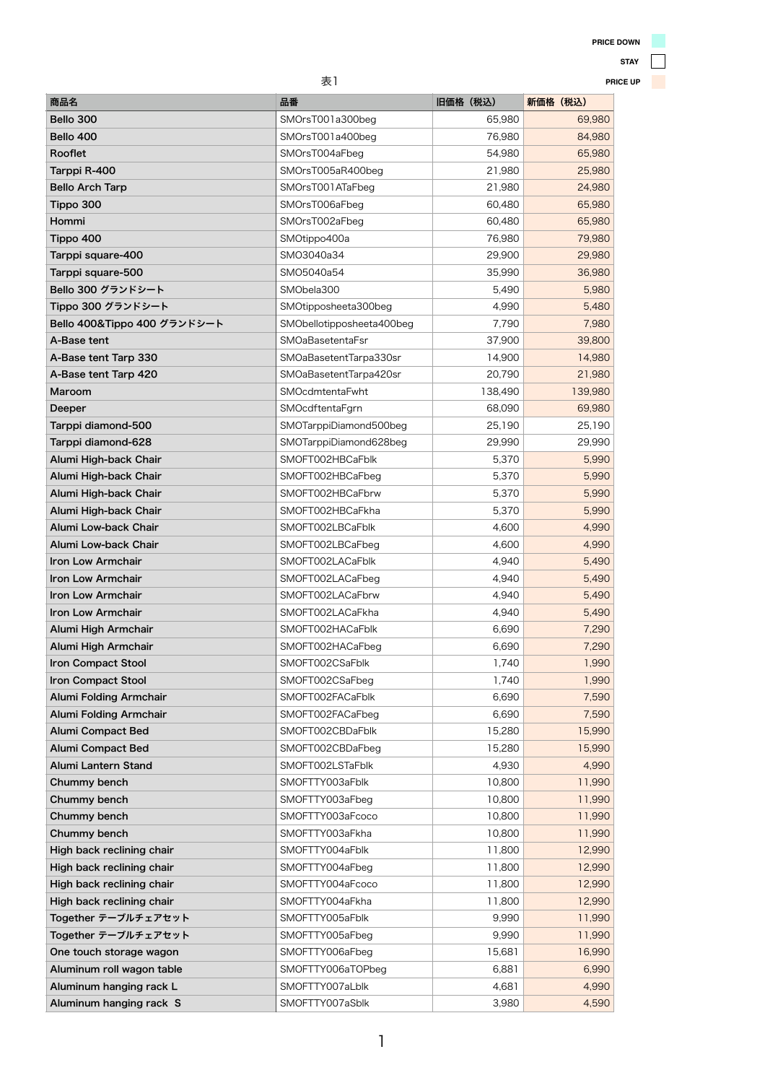| 表1<br>PRI                     |                           |          |          |
|-------------------------------|---------------------------|----------|----------|
| 商品名                           | 品番                        | 旧価格 (税込) | 新価格 (税込) |
| Bello 300                     | SMOrsT001a300beg          | 65,980   | 69,980   |
| Bello 400                     | SMOrsT001a400beg          | 76,980   | 84,980   |
| Rooflet                       | SMOrsT004aFbeg            | 54,980   | 65,980   |
| Tarppi R-400                  | SMOrsT005aR400beg         | 21,980   | 25,980   |
| <b>Bello Arch Tarp</b>        | SMOrsT001ATaFbeg          | 21,980   | 24,980   |
| Tippo 300                     | SMOrsT006aFbeg            | 60,480   | 65,980   |
| Hommi                         | SMOrsT002aFbeg            | 60,480   | 65,980   |
| Tippo 400                     | SMOtippo400a              | 76,980   | 79,980   |
| Tarppi square-400             | SMO3040a34                | 29,900   | 29,980   |
| Tarppi square-500             | SMO5040a54                | 35,990   | 36,980   |
| Bello 300 グランドシート             | SMObela300                | 5,490    | 5,980    |
| Tippo 300 グランドシート             | SMOtipposheeta300beg      | 4,990    | 5,480    |
| Bello 400&Tippo 400 グランドシート   | SMObellotipposheeta400beg | 7,790    | 7,980    |
| A-Base tent                   | <b>SMOaBasetentaFsr</b>   | 37,900   | 39,800   |
| A-Base tent Tarp 330          | SMOaBasetentTarpa330sr    | 14,900   | 14,980   |
| A-Base tent Tarp 420          | SMOaBasetentTarpa420sr    | 20,790   | 21,980   |
| Maroom                        | SMOcdmtentaFwht           | 138,490  | 139,980  |
| Deeper                        | SMOcdftentaFgrn           | 68,090   | 69,980   |
| Tarppi diamond-500            | SMOTarppiDiamond500beg    | 25,190   | 25,190   |
| Tarppi diamond-628            | SMOTarppiDiamond628beg    | 29,990   | 29,990   |
| Alumi High-back Chair         | SMOFT002HBCaFblk          | 5,370    | 5,990    |
| Alumi High-back Chair         | SMOFT002HBCaFbeg          | 5,370    | 5,990    |
| Alumi High-back Chair         | SMOFT002HBCaFbrw          | 5,370    | 5,990    |
| Alumi High-back Chair         | SMOFT002HBCaFkha          | 5,370    | 5,990    |
| <b>Alumi Low-back Chair</b>   | SMOFT002LBCaFblk          | 4,600    | 4,990    |
| <b>Alumi Low-back Chair</b>   | SMOFT002LBCaFbeg          | 4,600    | 4,990    |
| <b>Iron Low Armchair</b>      | SMOFT002LACaFblk          | 4,940    | 5,490    |
| <b>Iron Low Armchair</b>      | SMOFT002LACaFbeg          | 4,940    | 5,490    |
| <b>Iron Low Armchair</b>      | SMOFT002LACaFbrw          | 4,940    | 5,490    |
| <b>Iron Low Armchair</b>      | SMOFT002LACaFkha          | 4,940    | 5,490    |
| Alumi High Armchair           | SMOFT002HACaFblk          | 6,690    | 7,290    |
| Alumi High Armchair           | SMOFT002HACaFbeg          | 6,690    | 7,290    |
| <b>Iron Compact Stool</b>     | SMOFT002CSaFblk           | 1,740    | 1,990    |
| <b>Iron Compact Stool</b>     | SMOFT002CSaFbeg           | 1,740    | 1,990    |
| <b>Alumi Folding Armchair</b> | SMOFT002FACaFblk          | 6,690    | 7,590    |
| <b>Alumi Folding Armchair</b> | SMOFT002FACaFbeg          | 6,690    | 7,590    |
| <b>Alumi Compact Bed</b>      | SMOFT002CBDaFblk          | 15,280   | 15,990   |
| <b>Alumi Compact Bed</b>      | SMOFT002CBDaFbeg          | 15,280   | 15,990   |
| <b>Alumi Lantern Stand</b>    | SMOFT002LSTaFblk          | 4,930    | 4,990    |
| Chummy bench                  | SMOFTTY003aFblk           | 10,800   | 11,990   |
| Chummy bench                  | SMOFTTY003aFbeg           | 10,800   | 11,990   |
| Chummy bench                  | SMOFTTY003aFcoco          | 10,800   | 11,990   |
| Chummy honoh                  | CMOETTVOO20ELbo           | 10.900   | 11.000   |

| SIVIUF I I TUUSAFKIIA | TU,OUU | 11,990 |
|-----------------------|--------|--------|
| SMOFTTY004aFblk       | 11,800 | 12,990 |
| SMOFTTY004aFbeg       | 11,800 | 12,990 |
| SMOFTTY004aFcoco      | 11,800 | 12,990 |
| SMOFTTY004aFkha       | 11,800 | 12,990 |
| SMOFTTY005aFblk       | 9,990  | 11,990 |
| SMOFTTY005aFbeg       | 9,990  | 11,990 |
| SMOFTTY006aFbeg       | 15,681 | 16,990 |
| SMOFTTY006aTOPbeg     | 6,881  | 6,990  |
| SMOFTTY007aLblk       | 4,681  | 4,990  |
| SMOFTTY007aSblk       | 3,980  | 4,590  |
|                       |        |        |

## **STAY**

**PRICE UP**

1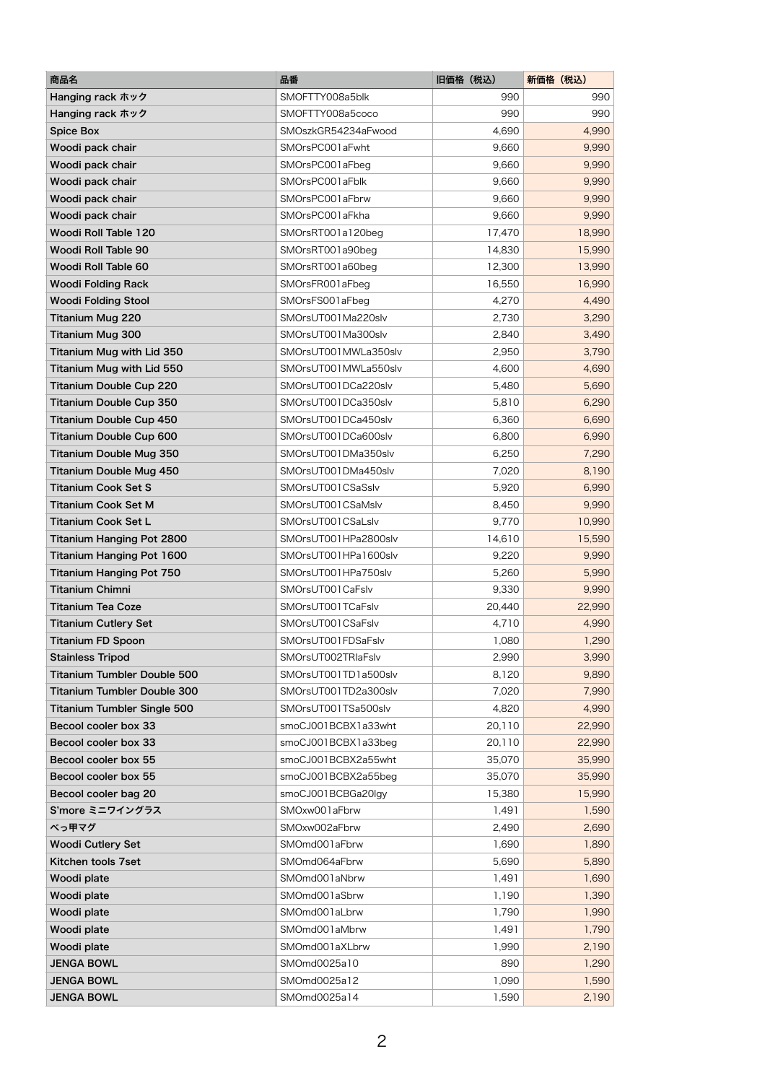| SMOFTTY008a5blk<br>990<br>990<br>Hanging rack ホック<br>SMOFTTY008a5coco<br>990<br>990<br>Hanging rack ホック<br>4,990<br>SMOszkGR54234aFwood<br>4,690<br><b>Spice Box</b><br>9,660<br>9,990<br>Woodi pack chair<br>SMOrsPC001aFwht<br>9,660<br>9,990<br>SMOrsPC001aFbeg<br>Woodi pack chair<br>SMOrsPC001aFblk<br>9,660<br>9,990<br>Woodi pack chair<br>9,660<br>9,990<br>Woodi pack chair<br>SMOrsPC001aFbrw<br>9,660<br>9,990<br>Woodi pack chair<br>SMOrsPC001aFkha<br>18,990<br>Woodi Roll Table 120<br>SMOrsRT001a120beg<br>17,470<br><b>Woodi Roll Table 90</b><br>SMOrsRT001a90beg<br>14,830<br>15,990<br>12,300<br>13,990<br><b>Woodi Roll Table 60</b><br>SMOrsRT001a60beg<br><b>Woodi Folding Rack</b><br>SMOrsFR001aFbeg<br>16,550<br>16,990<br>4,270<br>4,490<br><b>Woodi Folding Stool</b><br>SMOrsFS001aFbeg<br>SMOrsUT001Ma220slv<br>2,730<br>3,290<br><b>Titanium Mug 220</b><br>2,840<br><b>Titanium Mug 300</b><br>SMOrsUT001Ma300slv<br>3,490<br><b>Titanium Mug with Lid 350</b><br>SMOrsUT001MWLa350slv<br>2,950<br>3,790<br>SMOrsUT001MWLa550slv<br>4,600<br><b>Titanium Mug with Lid 550</b><br>4,690<br>SMOrsUT001DCa220slv<br><b>Titanium Double Cup 220</b><br>5,480<br>5,690<br>SMOrsUT001DCa350slv<br>5,810<br>6,290<br><b>Titanium Double Cup 350</b><br>6,360<br><b>Titanium Double Cup 450</b><br>SMOrsUT001DCa450slv<br>6,690<br><b>Titanium Double Cup 600</b><br>SMOrsUT001DCa600slv<br>6,800<br>6,990<br><b>Titanium Double Mug 350</b><br>SMOrsUT001DMa350slv<br>6,250<br>7,290<br>SMOrsUT001DMa450slv<br>7,020<br>8,190<br><b>Titanium Double Mug 450</b><br>6,990<br>5,920<br>Titanium Cook Set S<br>SMOrsUT001CSaSslv<br>8,450<br>9,990<br><b>Titanium Cook Set M</b><br>SMOrsUT001CSaMslv<br>Titanium Cook Set L<br>SMOrsUT001CSaLslv<br>9,770<br>10,990<br>SMOrsUT001HPa2800slv<br>14,610<br>15,590<br><b>Titanium Hanging Pot 2800</b><br>SMOrsUT001HPa1600slv<br><b>Titanium Hanging Pot 1600</b><br>9,220<br>9,990<br>5,260<br>5,990<br><b>Titanium Hanging Pot 750</b><br>SMOrsUT001HPa750slv<br><b>Titanium Chimni</b><br>SMOrsUT001CaFslv<br>9,330<br>9,990<br>SMOrsUT001TCaFslv<br>20,440<br>22,990<br><b>Titanium Tea Coze</b><br>SMOrsUT001CSaFslv<br><b>Titanium Cutlery Set</b><br>4,710<br>4,990<br>SMOrsUT001FDSaFslv<br>1,080<br><b>Titanium FD Spoon</b><br>1,290<br>SMOrsUT002TRIaFslv<br><b>Stainless Tripod</b><br>2,990<br>3,990<br>SMOrsUT001TD1a500slv<br>8,120<br><b>Titanium Tumbler Double 500</b><br>9,890<br>SMOrsUT001TD2a300slv<br><b>Titanium Tumbler Double 300</b><br>7,020<br>7,990<br>SMOrsUT001TSa500slv<br><b>Titanium Tumbler Single 500</b><br>4,820<br>4,990<br>20,110<br>Becool cooler box 33<br>smoCJ001BCBX1a33wht<br>22,990<br>Becool cooler box 33<br>smoCJ001BCBX1a33beg<br>20,110<br>22,990<br>35,070<br>35,990<br>Becool cooler box 55<br>smoCJ001BCBX2a55wht<br>Becool cooler box 55<br>smoCJ001BCBX2a55beg<br>35,070<br>35,990<br>15,380<br>15,990<br>Becool cooler bag 20<br>smoCJ001BCBGa20lgy<br>SMOxw001aFbrw<br>S'more ミニワイングラス<br>1,491<br>1,590<br>2,690<br>べっ甲マグ<br>SMOxw002aFbrw<br>2,490<br>SMOmd001aFbrw<br><b>Woodi Cutlery Set</b><br>1,690<br>1,890<br>SMOmd064aFbrw<br>5,690<br>Kitchen tools 7set<br>5,890<br>SMOmd001aNbrw<br>Woodi plate<br>1,491<br>1,690<br>1,190<br>1,390<br>Woodi plate<br>SMOmd001aSbrw<br>1,790<br>Woodi plate<br>SMOmd001aLbrw<br>1,990<br>SMOmd001aMbrw<br>1,491<br>Woodi plate<br>1,790 | 商品名 | 品番 | 旧価格 (税込) | 新価格 (税込) |
|------------------------------------------------------------------------------------------------------------------------------------------------------------------------------------------------------------------------------------------------------------------------------------------------------------------------------------------------------------------------------------------------------------------------------------------------------------------------------------------------------------------------------------------------------------------------------------------------------------------------------------------------------------------------------------------------------------------------------------------------------------------------------------------------------------------------------------------------------------------------------------------------------------------------------------------------------------------------------------------------------------------------------------------------------------------------------------------------------------------------------------------------------------------------------------------------------------------------------------------------------------------------------------------------------------------------------------------------------------------------------------------------------------------------------------------------------------------------------------------------------------------------------------------------------------------------------------------------------------------------------------------------------------------------------------------------------------------------------------------------------------------------------------------------------------------------------------------------------------------------------------------------------------------------------------------------------------------------------------------------------------------------------------------------------------------------------------------------------------------------------------------------------------------------------------------------------------------------------------------------------------------------------------------------------------------------------------------------------------------------------------------------------------------------------------------------------------------------------------------------------------------------------------------------------------------------------------------------------------------------------------------------------------------------------------------------------------------------------------------------------------------------------------------------------------------------------------------------------------------------------------------------------------------------------------------------------------------------------------------------------------------------------------------------------------------------------------------------------------------------------------------------------------------------------------------------------------------------------------------------------------------------------------------------------------------------------------------------------------------------------------------------------------------------|-----|----|----------|----------|
|                                                                                                                                                                                                                                                                                                                                                                                                                                                                                                                                                                                                                                                                                                                                                                                                                                                                                                                                                                                                                                                                                                                                                                                                                                                                                                                                                                                                                                                                                                                                                                                                                                                                                                                                                                                                                                                                                                                                                                                                                                                                                                                                                                                                                                                                                                                                                                                                                                                                                                                                                                                                                                                                                                                                                                                                                                                                                                                                                                                                                                                                                                                                                                                                                                                                                                                                                                                                                        |     |    |          |          |
|                                                                                                                                                                                                                                                                                                                                                                                                                                                                                                                                                                                                                                                                                                                                                                                                                                                                                                                                                                                                                                                                                                                                                                                                                                                                                                                                                                                                                                                                                                                                                                                                                                                                                                                                                                                                                                                                                                                                                                                                                                                                                                                                                                                                                                                                                                                                                                                                                                                                                                                                                                                                                                                                                                                                                                                                                                                                                                                                                                                                                                                                                                                                                                                                                                                                                                                                                                                                                        |     |    |          |          |
|                                                                                                                                                                                                                                                                                                                                                                                                                                                                                                                                                                                                                                                                                                                                                                                                                                                                                                                                                                                                                                                                                                                                                                                                                                                                                                                                                                                                                                                                                                                                                                                                                                                                                                                                                                                                                                                                                                                                                                                                                                                                                                                                                                                                                                                                                                                                                                                                                                                                                                                                                                                                                                                                                                                                                                                                                                                                                                                                                                                                                                                                                                                                                                                                                                                                                                                                                                                                                        |     |    |          |          |
|                                                                                                                                                                                                                                                                                                                                                                                                                                                                                                                                                                                                                                                                                                                                                                                                                                                                                                                                                                                                                                                                                                                                                                                                                                                                                                                                                                                                                                                                                                                                                                                                                                                                                                                                                                                                                                                                                                                                                                                                                                                                                                                                                                                                                                                                                                                                                                                                                                                                                                                                                                                                                                                                                                                                                                                                                                                                                                                                                                                                                                                                                                                                                                                                                                                                                                                                                                                                                        |     |    |          |          |
|                                                                                                                                                                                                                                                                                                                                                                                                                                                                                                                                                                                                                                                                                                                                                                                                                                                                                                                                                                                                                                                                                                                                                                                                                                                                                                                                                                                                                                                                                                                                                                                                                                                                                                                                                                                                                                                                                                                                                                                                                                                                                                                                                                                                                                                                                                                                                                                                                                                                                                                                                                                                                                                                                                                                                                                                                                                                                                                                                                                                                                                                                                                                                                                                                                                                                                                                                                                                                        |     |    |          |          |
|                                                                                                                                                                                                                                                                                                                                                                                                                                                                                                                                                                                                                                                                                                                                                                                                                                                                                                                                                                                                                                                                                                                                                                                                                                                                                                                                                                                                                                                                                                                                                                                                                                                                                                                                                                                                                                                                                                                                                                                                                                                                                                                                                                                                                                                                                                                                                                                                                                                                                                                                                                                                                                                                                                                                                                                                                                                                                                                                                                                                                                                                                                                                                                                                                                                                                                                                                                                                                        |     |    |          |          |
|                                                                                                                                                                                                                                                                                                                                                                                                                                                                                                                                                                                                                                                                                                                                                                                                                                                                                                                                                                                                                                                                                                                                                                                                                                                                                                                                                                                                                                                                                                                                                                                                                                                                                                                                                                                                                                                                                                                                                                                                                                                                                                                                                                                                                                                                                                                                                                                                                                                                                                                                                                                                                                                                                                                                                                                                                                                                                                                                                                                                                                                                                                                                                                                                                                                                                                                                                                                                                        |     |    |          |          |
|                                                                                                                                                                                                                                                                                                                                                                                                                                                                                                                                                                                                                                                                                                                                                                                                                                                                                                                                                                                                                                                                                                                                                                                                                                                                                                                                                                                                                                                                                                                                                                                                                                                                                                                                                                                                                                                                                                                                                                                                                                                                                                                                                                                                                                                                                                                                                                                                                                                                                                                                                                                                                                                                                                                                                                                                                                                                                                                                                                                                                                                                                                                                                                                                                                                                                                                                                                                                                        |     |    |          |          |
|                                                                                                                                                                                                                                                                                                                                                                                                                                                                                                                                                                                                                                                                                                                                                                                                                                                                                                                                                                                                                                                                                                                                                                                                                                                                                                                                                                                                                                                                                                                                                                                                                                                                                                                                                                                                                                                                                                                                                                                                                                                                                                                                                                                                                                                                                                                                                                                                                                                                                                                                                                                                                                                                                                                                                                                                                                                                                                                                                                                                                                                                                                                                                                                                                                                                                                                                                                                                                        |     |    |          |          |
|                                                                                                                                                                                                                                                                                                                                                                                                                                                                                                                                                                                                                                                                                                                                                                                                                                                                                                                                                                                                                                                                                                                                                                                                                                                                                                                                                                                                                                                                                                                                                                                                                                                                                                                                                                                                                                                                                                                                                                                                                                                                                                                                                                                                                                                                                                                                                                                                                                                                                                                                                                                                                                                                                                                                                                                                                                                                                                                                                                                                                                                                                                                                                                                                                                                                                                                                                                                                                        |     |    |          |          |
|                                                                                                                                                                                                                                                                                                                                                                                                                                                                                                                                                                                                                                                                                                                                                                                                                                                                                                                                                                                                                                                                                                                                                                                                                                                                                                                                                                                                                                                                                                                                                                                                                                                                                                                                                                                                                                                                                                                                                                                                                                                                                                                                                                                                                                                                                                                                                                                                                                                                                                                                                                                                                                                                                                                                                                                                                                                                                                                                                                                                                                                                                                                                                                                                                                                                                                                                                                                                                        |     |    |          |          |
|                                                                                                                                                                                                                                                                                                                                                                                                                                                                                                                                                                                                                                                                                                                                                                                                                                                                                                                                                                                                                                                                                                                                                                                                                                                                                                                                                                                                                                                                                                                                                                                                                                                                                                                                                                                                                                                                                                                                                                                                                                                                                                                                                                                                                                                                                                                                                                                                                                                                                                                                                                                                                                                                                                                                                                                                                                                                                                                                                                                                                                                                                                                                                                                                                                                                                                                                                                                                                        |     |    |          |          |
|                                                                                                                                                                                                                                                                                                                                                                                                                                                                                                                                                                                                                                                                                                                                                                                                                                                                                                                                                                                                                                                                                                                                                                                                                                                                                                                                                                                                                                                                                                                                                                                                                                                                                                                                                                                                                                                                                                                                                                                                                                                                                                                                                                                                                                                                                                                                                                                                                                                                                                                                                                                                                                                                                                                                                                                                                                                                                                                                                                                                                                                                                                                                                                                                                                                                                                                                                                                                                        |     |    |          |          |
|                                                                                                                                                                                                                                                                                                                                                                                                                                                                                                                                                                                                                                                                                                                                                                                                                                                                                                                                                                                                                                                                                                                                                                                                                                                                                                                                                                                                                                                                                                                                                                                                                                                                                                                                                                                                                                                                                                                                                                                                                                                                                                                                                                                                                                                                                                                                                                                                                                                                                                                                                                                                                                                                                                                                                                                                                                                                                                                                                                                                                                                                                                                                                                                                                                                                                                                                                                                                                        |     |    |          |          |
|                                                                                                                                                                                                                                                                                                                                                                                                                                                                                                                                                                                                                                                                                                                                                                                                                                                                                                                                                                                                                                                                                                                                                                                                                                                                                                                                                                                                                                                                                                                                                                                                                                                                                                                                                                                                                                                                                                                                                                                                                                                                                                                                                                                                                                                                                                                                                                                                                                                                                                                                                                                                                                                                                                                                                                                                                                                                                                                                                                                                                                                                                                                                                                                                                                                                                                                                                                                                                        |     |    |          |          |
|                                                                                                                                                                                                                                                                                                                                                                                                                                                                                                                                                                                                                                                                                                                                                                                                                                                                                                                                                                                                                                                                                                                                                                                                                                                                                                                                                                                                                                                                                                                                                                                                                                                                                                                                                                                                                                                                                                                                                                                                                                                                                                                                                                                                                                                                                                                                                                                                                                                                                                                                                                                                                                                                                                                                                                                                                                                                                                                                                                                                                                                                                                                                                                                                                                                                                                                                                                                                                        |     |    |          |          |
|                                                                                                                                                                                                                                                                                                                                                                                                                                                                                                                                                                                                                                                                                                                                                                                                                                                                                                                                                                                                                                                                                                                                                                                                                                                                                                                                                                                                                                                                                                                                                                                                                                                                                                                                                                                                                                                                                                                                                                                                                                                                                                                                                                                                                                                                                                                                                                                                                                                                                                                                                                                                                                                                                                                                                                                                                                                                                                                                                                                                                                                                                                                                                                                                                                                                                                                                                                                                                        |     |    |          |          |
|                                                                                                                                                                                                                                                                                                                                                                                                                                                                                                                                                                                                                                                                                                                                                                                                                                                                                                                                                                                                                                                                                                                                                                                                                                                                                                                                                                                                                                                                                                                                                                                                                                                                                                                                                                                                                                                                                                                                                                                                                                                                                                                                                                                                                                                                                                                                                                                                                                                                                                                                                                                                                                                                                                                                                                                                                                                                                                                                                                                                                                                                                                                                                                                                                                                                                                                                                                                                                        |     |    |          |          |
|                                                                                                                                                                                                                                                                                                                                                                                                                                                                                                                                                                                                                                                                                                                                                                                                                                                                                                                                                                                                                                                                                                                                                                                                                                                                                                                                                                                                                                                                                                                                                                                                                                                                                                                                                                                                                                                                                                                                                                                                                                                                                                                                                                                                                                                                                                                                                                                                                                                                                                                                                                                                                                                                                                                                                                                                                                                                                                                                                                                                                                                                                                                                                                                                                                                                                                                                                                                                                        |     |    |          |          |
|                                                                                                                                                                                                                                                                                                                                                                                                                                                                                                                                                                                                                                                                                                                                                                                                                                                                                                                                                                                                                                                                                                                                                                                                                                                                                                                                                                                                                                                                                                                                                                                                                                                                                                                                                                                                                                                                                                                                                                                                                                                                                                                                                                                                                                                                                                                                                                                                                                                                                                                                                                                                                                                                                                                                                                                                                                                                                                                                                                                                                                                                                                                                                                                                                                                                                                                                                                                                                        |     |    |          |          |
|                                                                                                                                                                                                                                                                                                                                                                                                                                                                                                                                                                                                                                                                                                                                                                                                                                                                                                                                                                                                                                                                                                                                                                                                                                                                                                                                                                                                                                                                                                                                                                                                                                                                                                                                                                                                                                                                                                                                                                                                                                                                                                                                                                                                                                                                                                                                                                                                                                                                                                                                                                                                                                                                                                                                                                                                                                                                                                                                                                                                                                                                                                                                                                                                                                                                                                                                                                                                                        |     |    |          |          |
|                                                                                                                                                                                                                                                                                                                                                                                                                                                                                                                                                                                                                                                                                                                                                                                                                                                                                                                                                                                                                                                                                                                                                                                                                                                                                                                                                                                                                                                                                                                                                                                                                                                                                                                                                                                                                                                                                                                                                                                                                                                                                                                                                                                                                                                                                                                                                                                                                                                                                                                                                                                                                                                                                                                                                                                                                                                                                                                                                                                                                                                                                                                                                                                                                                                                                                                                                                                                                        |     |    |          |          |
|                                                                                                                                                                                                                                                                                                                                                                                                                                                                                                                                                                                                                                                                                                                                                                                                                                                                                                                                                                                                                                                                                                                                                                                                                                                                                                                                                                                                                                                                                                                                                                                                                                                                                                                                                                                                                                                                                                                                                                                                                                                                                                                                                                                                                                                                                                                                                                                                                                                                                                                                                                                                                                                                                                                                                                                                                                                                                                                                                                                                                                                                                                                                                                                                                                                                                                                                                                                                                        |     |    |          |          |
|                                                                                                                                                                                                                                                                                                                                                                                                                                                                                                                                                                                                                                                                                                                                                                                                                                                                                                                                                                                                                                                                                                                                                                                                                                                                                                                                                                                                                                                                                                                                                                                                                                                                                                                                                                                                                                                                                                                                                                                                                                                                                                                                                                                                                                                                                                                                                                                                                                                                                                                                                                                                                                                                                                                                                                                                                                                                                                                                                                                                                                                                                                                                                                                                                                                                                                                                                                                                                        |     |    |          |          |
|                                                                                                                                                                                                                                                                                                                                                                                                                                                                                                                                                                                                                                                                                                                                                                                                                                                                                                                                                                                                                                                                                                                                                                                                                                                                                                                                                                                                                                                                                                                                                                                                                                                                                                                                                                                                                                                                                                                                                                                                                                                                                                                                                                                                                                                                                                                                                                                                                                                                                                                                                                                                                                                                                                                                                                                                                                                                                                                                                                                                                                                                                                                                                                                                                                                                                                                                                                                                                        |     |    |          |          |
|                                                                                                                                                                                                                                                                                                                                                                                                                                                                                                                                                                                                                                                                                                                                                                                                                                                                                                                                                                                                                                                                                                                                                                                                                                                                                                                                                                                                                                                                                                                                                                                                                                                                                                                                                                                                                                                                                                                                                                                                                                                                                                                                                                                                                                                                                                                                                                                                                                                                                                                                                                                                                                                                                                                                                                                                                                                                                                                                                                                                                                                                                                                                                                                                                                                                                                                                                                                                                        |     |    |          |          |
|                                                                                                                                                                                                                                                                                                                                                                                                                                                                                                                                                                                                                                                                                                                                                                                                                                                                                                                                                                                                                                                                                                                                                                                                                                                                                                                                                                                                                                                                                                                                                                                                                                                                                                                                                                                                                                                                                                                                                                                                                                                                                                                                                                                                                                                                                                                                                                                                                                                                                                                                                                                                                                                                                                                                                                                                                                                                                                                                                                                                                                                                                                                                                                                                                                                                                                                                                                                                                        |     |    |          |          |
|                                                                                                                                                                                                                                                                                                                                                                                                                                                                                                                                                                                                                                                                                                                                                                                                                                                                                                                                                                                                                                                                                                                                                                                                                                                                                                                                                                                                                                                                                                                                                                                                                                                                                                                                                                                                                                                                                                                                                                                                                                                                                                                                                                                                                                                                                                                                                                                                                                                                                                                                                                                                                                                                                                                                                                                                                                                                                                                                                                                                                                                                                                                                                                                                                                                                                                                                                                                                                        |     |    |          |          |
|                                                                                                                                                                                                                                                                                                                                                                                                                                                                                                                                                                                                                                                                                                                                                                                                                                                                                                                                                                                                                                                                                                                                                                                                                                                                                                                                                                                                                                                                                                                                                                                                                                                                                                                                                                                                                                                                                                                                                                                                                                                                                                                                                                                                                                                                                                                                                                                                                                                                                                                                                                                                                                                                                                                                                                                                                                                                                                                                                                                                                                                                                                                                                                                                                                                                                                                                                                                                                        |     |    |          |          |
|                                                                                                                                                                                                                                                                                                                                                                                                                                                                                                                                                                                                                                                                                                                                                                                                                                                                                                                                                                                                                                                                                                                                                                                                                                                                                                                                                                                                                                                                                                                                                                                                                                                                                                                                                                                                                                                                                                                                                                                                                                                                                                                                                                                                                                                                                                                                                                                                                                                                                                                                                                                                                                                                                                                                                                                                                                                                                                                                                                                                                                                                                                                                                                                                                                                                                                                                                                                                                        |     |    |          |          |
|                                                                                                                                                                                                                                                                                                                                                                                                                                                                                                                                                                                                                                                                                                                                                                                                                                                                                                                                                                                                                                                                                                                                                                                                                                                                                                                                                                                                                                                                                                                                                                                                                                                                                                                                                                                                                                                                                                                                                                                                                                                                                                                                                                                                                                                                                                                                                                                                                                                                                                                                                                                                                                                                                                                                                                                                                                                                                                                                                                                                                                                                                                                                                                                                                                                                                                                                                                                                                        |     |    |          |          |
|                                                                                                                                                                                                                                                                                                                                                                                                                                                                                                                                                                                                                                                                                                                                                                                                                                                                                                                                                                                                                                                                                                                                                                                                                                                                                                                                                                                                                                                                                                                                                                                                                                                                                                                                                                                                                                                                                                                                                                                                                                                                                                                                                                                                                                                                                                                                                                                                                                                                                                                                                                                                                                                                                                                                                                                                                                                                                                                                                                                                                                                                                                                                                                                                                                                                                                                                                                                                                        |     |    |          |          |
|                                                                                                                                                                                                                                                                                                                                                                                                                                                                                                                                                                                                                                                                                                                                                                                                                                                                                                                                                                                                                                                                                                                                                                                                                                                                                                                                                                                                                                                                                                                                                                                                                                                                                                                                                                                                                                                                                                                                                                                                                                                                                                                                                                                                                                                                                                                                                                                                                                                                                                                                                                                                                                                                                                                                                                                                                                                                                                                                                                                                                                                                                                                                                                                                                                                                                                                                                                                                                        |     |    |          |          |
|                                                                                                                                                                                                                                                                                                                                                                                                                                                                                                                                                                                                                                                                                                                                                                                                                                                                                                                                                                                                                                                                                                                                                                                                                                                                                                                                                                                                                                                                                                                                                                                                                                                                                                                                                                                                                                                                                                                                                                                                                                                                                                                                                                                                                                                                                                                                                                                                                                                                                                                                                                                                                                                                                                                                                                                                                                                                                                                                                                                                                                                                                                                                                                                                                                                                                                                                                                                                                        |     |    |          |          |
|                                                                                                                                                                                                                                                                                                                                                                                                                                                                                                                                                                                                                                                                                                                                                                                                                                                                                                                                                                                                                                                                                                                                                                                                                                                                                                                                                                                                                                                                                                                                                                                                                                                                                                                                                                                                                                                                                                                                                                                                                                                                                                                                                                                                                                                                                                                                                                                                                                                                                                                                                                                                                                                                                                                                                                                                                                                                                                                                                                                                                                                                                                                                                                                                                                                                                                                                                                                                                        |     |    |          |          |
|                                                                                                                                                                                                                                                                                                                                                                                                                                                                                                                                                                                                                                                                                                                                                                                                                                                                                                                                                                                                                                                                                                                                                                                                                                                                                                                                                                                                                                                                                                                                                                                                                                                                                                                                                                                                                                                                                                                                                                                                                                                                                                                                                                                                                                                                                                                                                                                                                                                                                                                                                                                                                                                                                                                                                                                                                                                                                                                                                                                                                                                                                                                                                                                                                                                                                                                                                                                                                        |     |    |          |          |
|                                                                                                                                                                                                                                                                                                                                                                                                                                                                                                                                                                                                                                                                                                                                                                                                                                                                                                                                                                                                                                                                                                                                                                                                                                                                                                                                                                                                                                                                                                                                                                                                                                                                                                                                                                                                                                                                                                                                                                                                                                                                                                                                                                                                                                                                                                                                                                                                                                                                                                                                                                                                                                                                                                                                                                                                                                                                                                                                                                                                                                                                                                                                                                                                                                                                                                                                                                                                                        |     |    |          |          |
|                                                                                                                                                                                                                                                                                                                                                                                                                                                                                                                                                                                                                                                                                                                                                                                                                                                                                                                                                                                                                                                                                                                                                                                                                                                                                                                                                                                                                                                                                                                                                                                                                                                                                                                                                                                                                                                                                                                                                                                                                                                                                                                                                                                                                                                                                                                                                                                                                                                                                                                                                                                                                                                                                                                                                                                                                                                                                                                                                                                                                                                                                                                                                                                                                                                                                                                                                                                                                        |     |    |          |          |
|                                                                                                                                                                                                                                                                                                                                                                                                                                                                                                                                                                                                                                                                                                                                                                                                                                                                                                                                                                                                                                                                                                                                                                                                                                                                                                                                                                                                                                                                                                                                                                                                                                                                                                                                                                                                                                                                                                                                                                                                                                                                                                                                                                                                                                                                                                                                                                                                                                                                                                                                                                                                                                                                                                                                                                                                                                                                                                                                                                                                                                                                                                                                                                                                                                                                                                                                                                                                                        |     |    |          |          |
|                                                                                                                                                                                                                                                                                                                                                                                                                                                                                                                                                                                                                                                                                                                                                                                                                                                                                                                                                                                                                                                                                                                                                                                                                                                                                                                                                                                                                                                                                                                                                                                                                                                                                                                                                                                                                                                                                                                                                                                                                                                                                                                                                                                                                                                                                                                                                                                                                                                                                                                                                                                                                                                                                                                                                                                                                                                                                                                                                                                                                                                                                                                                                                                                                                                                                                                                                                                                                        |     |    |          |          |
|                                                                                                                                                                                                                                                                                                                                                                                                                                                                                                                                                                                                                                                                                                                                                                                                                                                                                                                                                                                                                                                                                                                                                                                                                                                                                                                                                                                                                                                                                                                                                                                                                                                                                                                                                                                                                                                                                                                                                                                                                                                                                                                                                                                                                                                                                                                                                                                                                                                                                                                                                                                                                                                                                                                                                                                                                                                                                                                                                                                                                                                                                                                                                                                                                                                                                                                                                                                                                        |     |    |          |          |
|                                                                                                                                                                                                                                                                                                                                                                                                                                                                                                                                                                                                                                                                                                                                                                                                                                                                                                                                                                                                                                                                                                                                                                                                                                                                                                                                                                                                                                                                                                                                                                                                                                                                                                                                                                                                                                                                                                                                                                                                                                                                                                                                                                                                                                                                                                                                                                                                                                                                                                                                                                                                                                                                                                                                                                                                                                                                                                                                                                                                                                                                                                                                                                                                                                                                                                                                                                                                                        |     |    |          |          |
|                                                                                                                                                                                                                                                                                                                                                                                                                                                                                                                                                                                                                                                                                                                                                                                                                                                                                                                                                                                                                                                                                                                                                                                                                                                                                                                                                                                                                                                                                                                                                                                                                                                                                                                                                                                                                                                                                                                                                                                                                                                                                                                                                                                                                                                                                                                                                                                                                                                                                                                                                                                                                                                                                                                                                                                                                                                                                                                                                                                                                                                                                                                                                                                                                                                                                                                                                                                                                        |     |    |          |          |
|                                                                                                                                                                                                                                                                                                                                                                                                                                                                                                                                                                                                                                                                                                                                                                                                                                                                                                                                                                                                                                                                                                                                                                                                                                                                                                                                                                                                                                                                                                                                                                                                                                                                                                                                                                                                                                                                                                                                                                                                                                                                                                                                                                                                                                                                                                                                                                                                                                                                                                                                                                                                                                                                                                                                                                                                                                                                                                                                                                                                                                                                                                                                                                                                                                                                                                                                                                                                                        |     |    |          |          |
|                                                                                                                                                                                                                                                                                                                                                                                                                                                                                                                                                                                                                                                                                                                                                                                                                                                                                                                                                                                                                                                                                                                                                                                                                                                                                                                                                                                                                                                                                                                                                                                                                                                                                                                                                                                                                                                                                                                                                                                                                                                                                                                                                                                                                                                                                                                                                                                                                                                                                                                                                                                                                                                                                                                                                                                                                                                                                                                                                                                                                                                                                                                                                                                                                                                                                                                                                                                                                        |     |    |          |          |
|                                                                                                                                                                                                                                                                                                                                                                                                                                                                                                                                                                                                                                                                                                                                                                                                                                                                                                                                                                                                                                                                                                                                                                                                                                                                                                                                                                                                                                                                                                                                                                                                                                                                                                                                                                                                                                                                                                                                                                                                                                                                                                                                                                                                                                                                                                                                                                                                                                                                                                                                                                                                                                                                                                                                                                                                                                                                                                                                                                                                                                                                                                                                                                                                                                                                                                                                                                                                                        |     |    |          |          |
|                                                                                                                                                                                                                                                                                                                                                                                                                                                                                                                                                                                                                                                                                                                                                                                                                                                                                                                                                                                                                                                                                                                                                                                                                                                                                                                                                                                                                                                                                                                                                                                                                                                                                                                                                                                                                                                                                                                                                                                                                                                                                                                                                                                                                                                                                                                                                                                                                                                                                                                                                                                                                                                                                                                                                                                                                                                                                                                                                                                                                                                                                                                                                                                                                                                                                                                                                                                                                        |     |    |          |          |
|                                                                                                                                                                                                                                                                                                                                                                                                                                                                                                                                                                                                                                                                                                                                                                                                                                                                                                                                                                                                                                                                                                                                                                                                                                                                                                                                                                                                                                                                                                                                                                                                                                                                                                                                                                                                                                                                                                                                                                                                                                                                                                                                                                                                                                                                                                                                                                                                                                                                                                                                                                                                                                                                                                                                                                                                                                                                                                                                                                                                                                                                                                                                                                                                                                                                                                                                                                                                                        |     |    |          |          |
|                                                                                                                                                                                                                                                                                                                                                                                                                                                                                                                                                                                                                                                                                                                                                                                                                                                                                                                                                                                                                                                                                                                                                                                                                                                                                                                                                                                                                                                                                                                                                                                                                                                                                                                                                                                                                                                                                                                                                                                                                                                                                                                                                                                                                                                                                                                                                                                                                                                                                                                                                                                                                                                                                                                                                                                                                                                                                                                                                                                                                                                                                                                                                                                                                                                                                                                                                                                                                        |     |    |          |          |
|                                                                                                                                                                                                                                                                                                                                                                                                                                                                                                                                                                                                                                                                                                                                                                                                                                                                                                                                                                                                                                                                                                                                                                                                                                                                                                                                                                                                                                                                                                                                                                                                                                                                                                                                                                                                                                                                                                                                                                                                                                                                                                                                                                                                                                                                                                                                                                                                                                                                                                                                                                                                                                                                                                                                                                                                                                                                                                                                                                                                                                                                                                                                                                                                                                                                                                                                                                                                                        |     |    |          |          |
| Woodi plate<br>SMOmd001aXLbrw<br>1,990<br>2,190                                                                                                                                                                                                                                                                                                                                                                                                                                                                                                                                                                                                                                                                                                                                                                                                                                                                                                                                                                                                                                                                                                                                                                                                                                                                                                                                                                                                                                                                                                                                                                                                                                                                                                                                                                                                                                                                                                                                                                                                                                                                                                                                                                                                                                                                                                                                                                                                                                                                                                                                                                                                                                                                                                                                                                                                                                                                                                                                                                                                                                                                                                                                                                                                                                                                                                                                                                        |     |    |          |          |
| SMOmd0025a10<br>890<br>1,290<br><b>JENGA BOWL</b>                                                                                                                                                                                                                                                                                                                                                                                                                                                                                                                                                                                                                                                                                                                                                                                                                                                                                                                                                                                                                                                                                                                                                                                                                                                                                                                                                                                                                                                                                                                                                                                                                                                                                                                                                                                                                                                                                                                                                                                                                                                                                                                                                                                                                                                                                                                                                                                                                                                                                                                                                                                                                                                                                                                                                                                                                                                                                                                                                                                                                                                                                                                                                                                                                                                                                                                                                                      |     |    |          |          |
| SMOmd0025a12<br>1,090<br>1,590<br><b>JENGA BOWL</b>                                                                                                                                                                                                                                                                                                                                                                                                                                                                                                                                                                                                                                                                                                                                                                                                                                                                                                                                                                                                                                                                                                                                                                                                                                                                                                                                                                                                                                                                                                                                                                                                                                                                                                                                                                                                                                                                                                                                                                                                                                                                                                                                                                                                                                                                                                                                                                                                                                                                                                                                                                                                                                                                                                                                                                                                                                                                                                                                                                                                                                                                                                                                                                                                                                                                                                                                                                    |     |    |          |          |
| <b>JENGA BOWL</b><br>SMOmd0025a14<br>1,590<br>2,190                                                                                                                                                                                                                                                                                                                                                                                                                                                                                                                                                                                                                                                                                                                                                                                                                                                                                                                                                                                                                                                                                                                                                                                                                                                                                                                                                                                                                                                                                                                                                                                                                                                                                                                                                                                                                                                                                                                                                                                                                                                                                                                                                                                                                                                                                                                                                                                                                                                                                                                                                                                                                                                                                                                                                                                                                                                                                                                                                                                                                                                                                                                                                                                                                                                                                                                                                                    |     |    |          |          |

2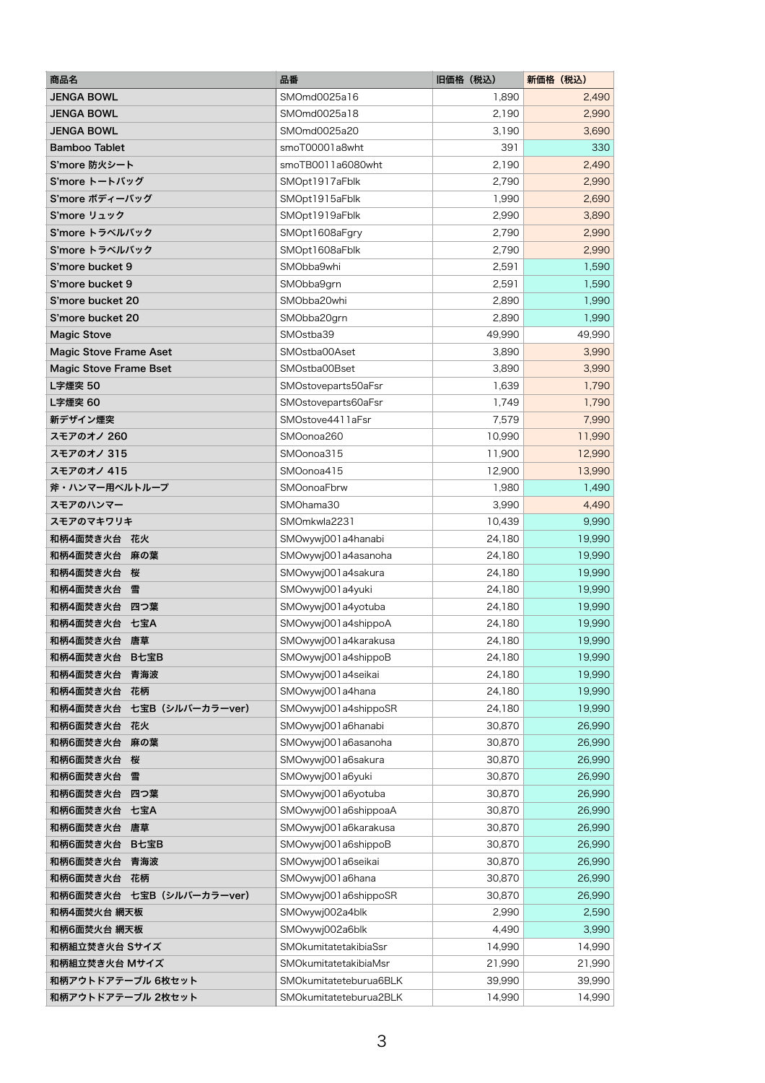| 商品名                           | 品番                     | 旧価格(税込) | 新価格 (税込) |
|-------------------------------|------------------------|---------|----------|
| <b>JENGA BOWL</b>             | SMOmd0025a16           | 1,890   | 2,490    |
| <b>JENGA BOWL</b>             | SMOmd0025a18           | 2,190   | 2,990    |
| <b>JENGA BOWL</b>             | SMOmd0025a20           | 3,190   | 3,690    |
| <b>Bamboo Tablet</b>          | smoT00001a8wht         | 391     | 330      |
| S'more 防火シート                  | smoTB0011a6080wht      | 2,190   | 2,490    |
| S'more トートバッグ                 | SMOpt1917aFblk         | 2,790   | 2,990    |
| S'more ボディーバッグ                | SMOpt1915aFblk         | 1,990   | 2,690    |
| S'more リュック                   | SMOpt1919aFblk         | 2,990   | 3,890    |
| S'more トラベルバック                | SMOpt1608aFgry         | 2,790   | 2,990    |
| S'more トラベルバック                | SMOpt1608aFblk         | 2,790   | 2,990    |
| S'more bucket 9               | SMObba9whi             | 2,591   | 1,590    |
| S'more bucket 9               | SMObba9grn             | 2,591   | 1,590    |
| S'more bucket 20              | SMObba20whi            | 2,890   | 1,990    |
| S'more bucket 20              | SMObba20grn            | 2,890   | 1,990    |
| <b>Magic Stove</b>            | SMOstba39              | 49,990  | 49,990   |
| <b>Magic Stove Frame Aset</b> | SMOstba00Aset          | 3,890   | 3,990    |
| <b>Magic Stove Frame Bset</b> | SMOstba00Bset          | 3,890   | 3,990    |
| L字煙突 50                       | SMOstoveparts50aFsr    | 1,639   | 1,790    |
| L字煙突 60                       | SMOstoveparts60aFsr    | 1,749   | 1,790    |
| 新デザイン煙突                       | SMOstove4411aFsr       | 7,579   | 7,990    |
| スモアのオノ 260                    | SMOonoa260             | 10,990  | 11,990   |
| スモアのオノ 315                    | SMOonoa315             | 11,900  | 12,990   |
| スモアのオノ 415                    | SMOonoa415             | 12,900  | 13,990   |
| 斧・ハンマー用ベルトループ                 | <b>SMOonoaFbrw</b>     | 1,980   | 1,490    |
| スモアのハンマー                      | SMOhama30              | 3,990   | 4,490    |
| スモアのマキワリキ                     | SMOmkwla2231           | 10,439  | 9,990    |
| 和柄4面焚き火台<br>花火                | SMOwywj001a4hanabi     | 24,180  | 19,990   |
| 和柄4面焚き火台<br>麻の葉               | SMOwywj001a4asanoha    | 24,180  | 19,990   |
| 和柄4面焚き火台<br>桜                 | SMOwywj001a4sakura     | 24,180  | 19,990   |
| 和柄4面焚き火台<br>雪                 | SMOwywj001a4yuki       | 24,180  | 19,990   |
| 和柄4面焚き火台<br>四つ葉               | SMOwywj001a4yotuba     | 24,180  | 19,990   |
| 和柄4面焚き火台<br>七宝A               | SMOwywj001a4shippoA    | 24,180  | 19,990   |
| 和柄4面焚き火台<br>唐草                | SMOwywj001a4karakusa   | 24,180  | 19,990   |
| 和柄4面焚き火台<br>B七宝B              | SMOwywj001a4shippoB    | 24,180  | 19,990   |
| 和柄4面焚き火台<br>青海波               | SMOwywj001a4seikai     | 24,180  | 19,990   |
| 和柄4面焚き火台<br>花柄                | SMOwywj001a4hana       | 24,180  | 19,990   |
| 七宝B (シルバーカラーver)<br>和柄4面焚き火台  | SMOwywj001a4shippoSR   | 24,180  | 19,990   |
| 和柄6面焚き火台<br>花火                | SMOwywj001a6hanabi     | 30,870  | 26,990   |
| 和柄6面焚き火台<br>麻の葉               | SMOwywj001a6asanoha    | 30,870  | 26,990   |
| 和柄6面焚き火台<br>桜                 | SMOwywj001a6sakura     | 30,870  | 26,990   |
| 和柄6面焚き火台<br>雪                 | SMOwywj001a6yuki       | 30,870  | 26,990   |
| 和柄6面焚き火台<br>四つ葉               | SMOwywj001a6yotuba     | 30,870  | 26,990   |
| 和柄6面焚き火台<br>七宝A               | SMOwywj001a6shippoaA   | 30,870  | 26,990   |
| 和柄6面焚き火台<br>唐草                | SMOwywj001a6karakusa   | 30,870  | 26,990   |
| 和柄6面焚き火台<br>B七宝B              | SMOwywj001a6shippoB    | 30,870  | 26,990   |
| 和柄6面焚き火台<br>青海波               | SMOwywj001a6seikai     | 30,870  | 26,990   |
| 和柄6面焚き火台<br>花柄                | SMOwywj001a6hana       | 30,870  | 26,990   |
| 和柄6面焚き火台<br>七宝B (シルバーカラーver)  | SMOwywj001a6shippoSR   | 30,870  | 26,990   |
| 和柄4面焚火台 網天板                   | SMOwywj002a4blk        | 2,990   | 2,590    |
| 和柄6面焚火台 網天板                   | SMOwywj002a6blk        | 4,490   | 3,990    |
| 和柄組立焚き火台 Sサイズ                 | SMOkumitatetakibiaSsr  | 14,990  | 14,990   |
| 和柄組立焚き火台 Mサイズ                 | SMOkumitatetakibiaMsr  | 21,990  | 21,990   |
| 和柄アウトドアテーブル 6枚セット             | SMOkumitateteburua6BLK | 39,990  | 39,990   |
| 和柄アウトドアテーブル 2枚セット             | SMOkumitateteburua2BLK | 14,990  | 14,990   |

3